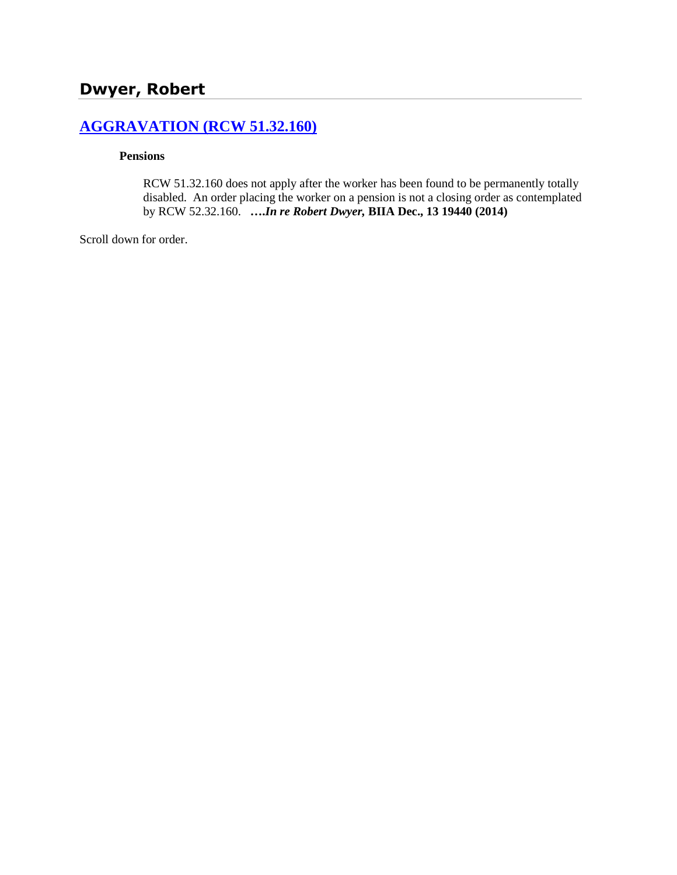# **[AGGRAVATION \(RCW 51.32.160\)](http://www.biia.wa.gov/SDSubjectIndex.html#AGGRAVATION)**

#### **Pensions**

RCW 51.32.160 does not apply after the worker has been found to be permanently totally disabled. An order placing the worker on a pension is not a closing order as contemplated by RCW 52.32.160. **….***In re Robert Dwyer,* **BIIA Dec., 13 19440 (2014)**

Scroll down for order.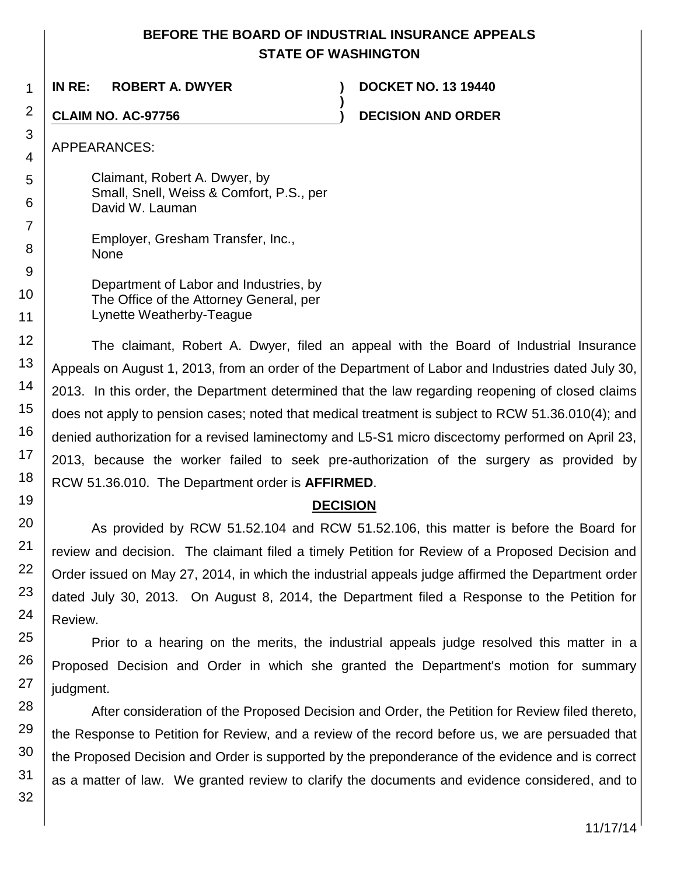#### **BEFORE THE BOARD OF INDUSTRIAL INSURANCE APPEALS STATE OF WASHINGTON**

**)**

1 **IN RE: ROBERT A. DWYER ) DOCKET NO. 13 19440**

**CLAIM NO. AC-97756 ) DECISION AND ORDER**

APPEARANCES:

2

3

4

5

6

7

8

9

10

11

19

20

21 22

23

24

25

26

27

Claimant, Robert A. Dwyer, by Small, Snell, Weiss & Comfort, P.S., per David W. Lauman

Employer, Gresham Transfer, Inc., None

Department of Labor and Industries, by The Office of the Attorney General, per Lynette Weatherby-Teague

12 13 14 15 16 17 18 The claimant, Robert A. Dwyer, filed an appeal with the Board of Industrial Insurance Appeals on August 1, 2013, from an order of the Department of Labor and Industries dated July 30, 2013. In this order, the Department determined that the law regarding reopening of closed claims does not apply to pension cases; noted that medical treatment is subject to RCW 51.36.010(4); and denied authorization for a revised laminectomy and L5-S1 micro discectomy performed on April 23, 2013, because the worker failed to seek pre-authorization of the surgery as provided by RCW 51.36.010. The Department order is **AFFIRMED**.

## **DECISION**

As provided by RCW 51.52.104 and RCW 51.52.106, this matter is before the Board for review and decision. The claimant filed a timely Petition for Review of a Proposed Decision and Order issued on May 27, 2014, in which the industrial appeals judge affirmed the Department order dated July 30, 2013. On August 8, 2014, the Department filed a Response to the Petition for Review.

Prior to a hearing on the merits, the industrial appeals judge resolved this matter in a Proposed Decision and Order in which she granted the Department's motion for summary judgment.

28 29 30 31 32 After consideration of the Proposed Decision and Order, the Petition for Review filed thereto, the Response to Petition for Review, and a review of the record before us, we are persuaded that the Proposed Decision and Order is supported by the preponderance of the evidence and is correct as a matter of law. We granted review to clarify the documents and evidence considered, and to

11/17/14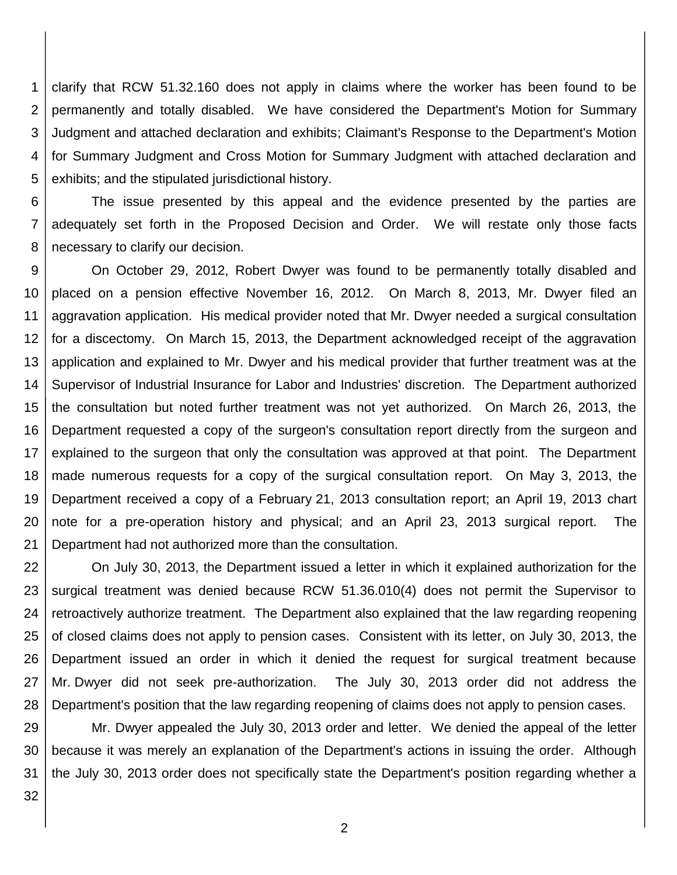1 2 3 4 5 clarify that RCW 51.32.160 does not apply in claims where the worker has been found to be permanently and totally disabled. We have considered the Department's Motion for Summary Judgment and attached declaration and exhibits; Claimant's Response to the Department's Motion for Summary Judgment and Cross Motion for Summary Judgment with attached declaration and exhibits; and the stipulated jurisdictional history.

6 7 8 The issue presented by this appeal and the evidence presented by the parties are adequately set forth in the Proposed Decision and Order. We will restate only those facts necessary to clarify our decision.

9 10 11 12 13 14 15 16 17 18 19 20 21 On October 29, 2012, Robert Dwyer was found to be permanently totally disabled and placed on a pension effective November 16, 2012. On March 8, 2013, Mr. Dwyer filed an aggravation application. His medical provider noted that Mr. Dwyer needed a surgical consultation for a discectomy. On March 15, 2013, the Department acknowledged receipt of the aggravation application and explained to Mr. Dwyer and his medical provider that further treatment was at the Supervisor of Industrial Insurance for Labor and Industries' discretion. The Department authorized the consultation but noted further treatment was not yet authorized. On March 26, 2013, the Department requested a copy of the surgeon's consultation report directly from the surgeon and explained to the surgeon that only the consultation was approved at that point. The Department made numerous requests for a copy of the surgical consultation report. On May 3, 2013, the Department received a copy of a February 21, 2013 consultation report; an April 19, 2013 chart note for a pre-operation history and physical; and an April 23, 2013 surgical report. The Department had not authorized more than the consultation.

22 23 24 25 26 27 28 On July 30, 2013, the Department issued a letter in which it explained authorization for the surgical treatment was denied because RCW 51.36.010(4) does not permit the Supervisor to retroactively authorize treatment. The Department also explained that the law regarding reopening of closed claims does not apply to pension cases. Consistent with its letter, on July 30, 2013, the Department issued an order in which it denied the request for surgical treatment because Mr. Dwyer did not seek pre-authorization. The July 30, 2013 order did not address the Department's position that the law regarding reopening of claims does not apply to pension cases.

29 30 31 Mr. Dwyer appealed the July 30, 2013 order and letter. We denied the appeal of the letter because it was merely an explanation of the Department's actions in issuing the order. Although the July 30, 2013 order does not specifically state the Department's position regarding whether a

32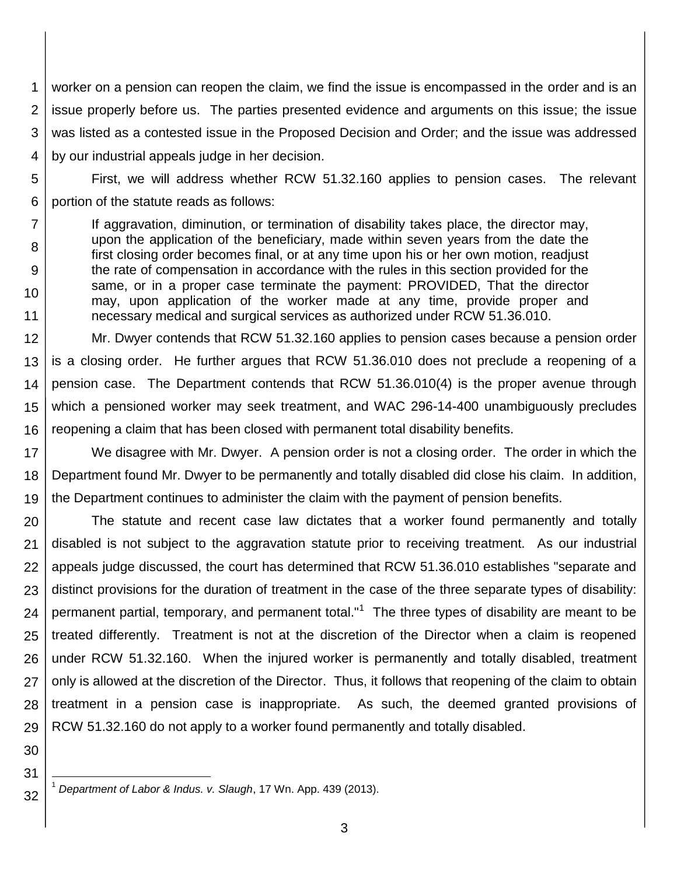1 2 3 4 worker on a pension can reopen the claim, we find the issue is encompassed in the order and is an issue properly before us. The parties presented evidence and arguments on this issue; the issue was listed as a contested issue in the Proposed Decision and Order; and the issue was addressed by our industrial appeals judge in her decision.

5 6 First, we will address whether RCW 51.32.160 applies to pension cases. The relevant portion of the statute reads as follows:

If aggravation, diminution, or termination of disability takes place, the director may, upon the application of the beneficiary, made within seven years from the date the first closing order becomes final, or at any time upon his or her own motion, readjust the rate of compensation in accordance with the rules in this section provided for the same, or in a proper case terminate the payment: PROVIDED, That the director may, upon application of the worker made at any time, provide proper and necessary medical and surgical services as authorized under RCW 51.36.010.

12 13 14 15 16 Mr. Dwyer contends that RCW 51.32.160 applies to pension cases because a pension order is a closing order. He further argues that RCW 51.36.010 does not preclude a reopening of a pension case. The Department contends that RCW 51.36.010(4) is the proper avenue through which a pensioned worker may seek treatment, and WAC 296-14-400 unambiguously precludes reopening a claim that has been closed with permanent total disability benefits.

17 18 19 We disagree with Mr. Dwyer. A pension order is not a closing order. The order in which the Department found Mr. Dwyer to be permanently and totally disabled did close his claim. In addition, the Department continues to administer the claim with the payment of pension benefits.

20 21 22 23 24 25 26 27 28 29 The statute and recent case law dictates that a worker found permanently and totally disabled is not subject to the aggravation statute prior to receiving treatment. As our industrial appeals judge discussed, the court has determined that RCW 51.36.010 establishes "separate and distinct provisions for the duration of treatment in the case of the three separate types of disability: permanent partial, temporary, and permanent total."<sup>1</sup> The three types of disability are meant to be treated differently. Treatment is not at the discretion of the Director when a claim is reopened under RCW 51.32.160. When the injured worker is permanently and totally disabled, treatment only is allowed at the discretion of the Director. Thus, it follows that reopening of the claim to obtain treatment in a pension case is inappropriate. As such, the deemed granted provisions of RCW 51.32.160 do not apply to a worker found permanently and totally disabled.

30 31

32

7

8

9

10

11

 $\overline{\phantom{a}}$ <sup>1</sup> *Department of Labor & Indus. v. Slaugh*, 17 Wn. App. 439 (2013).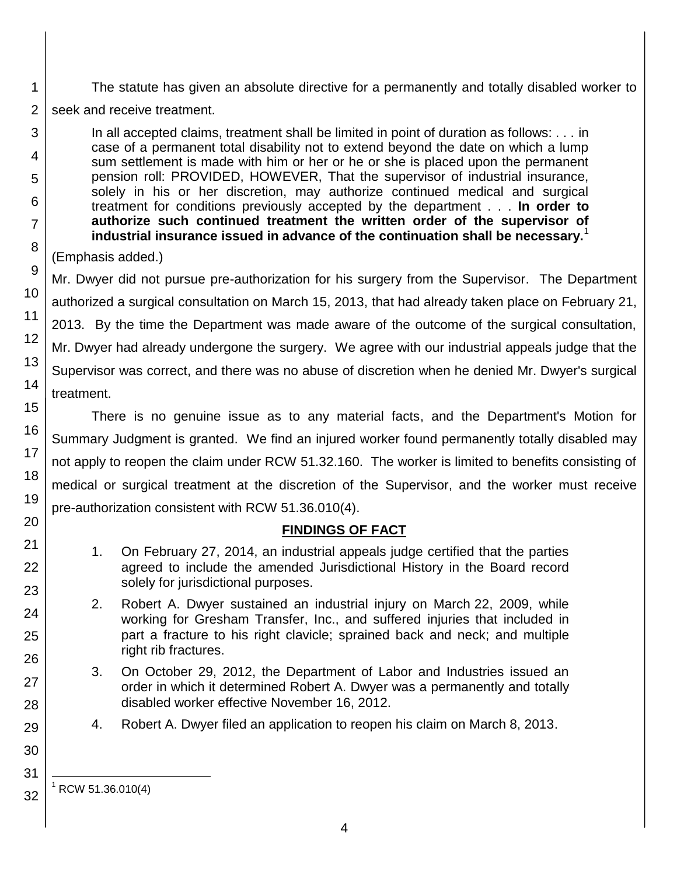The statute has given an absolute directive for a permanently and totally disabled worker to

2 seek and receive treatment.

> In all accepted claims, treatment shall be limited in point of duration as follows: . . . in case of a permanent total disability not to extend beyond the date on which a lump sum settlement is made with him or her or he or she is placed upon the permanent pension roll: PROVIDED, HOWEVER, That the supervisor of industrial insurance, solely in his or her discretion, may authorize continued medical and surgical treatment for conditions previously accepted by the department . . . **In order to authorize such continued treatment the written order of the supervisor of industrial insurance issued in advance of the continuation shall be necessary.**<sup>1</sup>

# (Emphasis added.)

Mr. Dwyer did not pursue pre-authorization for his surgery from the Supervisor. The Department authorized a surgical consultation on March 15, 2013, that had already taken place on February 21, 2013. By the time the Department was made aware of the outcome of the surgical consultation, Mr. Dwyer had already undergone the surgery. We agree with our industrial appeals judge that the Supervisor was correct, and there was no abuse of discretion when he denied Mr. Dwyer's surgical treatment.

There is no genuine issue as to any material facts, and the Department's Motion for Summary Judgment is granted. We find an injured worker found permanently totally disabled may not apply to reopen the claim under RCW 51.32.160. The worker is limited to benefits consisting of medical or surgical treatment at the discretion of the Supervisor, and the worker must receive pre-authorization consistent with RCW 51.36.010(4).

# **FINDINGS OF FACT**

- 1. On February 27, 2014, an industrial appeals judge certified that the parties agreed to include the amended Jurisdictional History in the Board record solely for jurisdictional purposes.
- 2. Robert A. Dwyer sustained an industrial injury on March 22, 2009, while working for Gresham Transfer, Inc., and suffered injuries that included in part a fracture to his right clavicle; sprained back and neck; and multiple right rib fractures.
- 3. On October 29, 2012, the Department of Labor and Industries issued an order in which it determined Robert A. Dwyer was a permanently and totally disabled worker effective November 16, 2012.
- 4. Robert A. Dwyer filed an application to reopen his claim on March 8, 2013.

1

3

4

l  $1$  RCW 51.36.010(4)